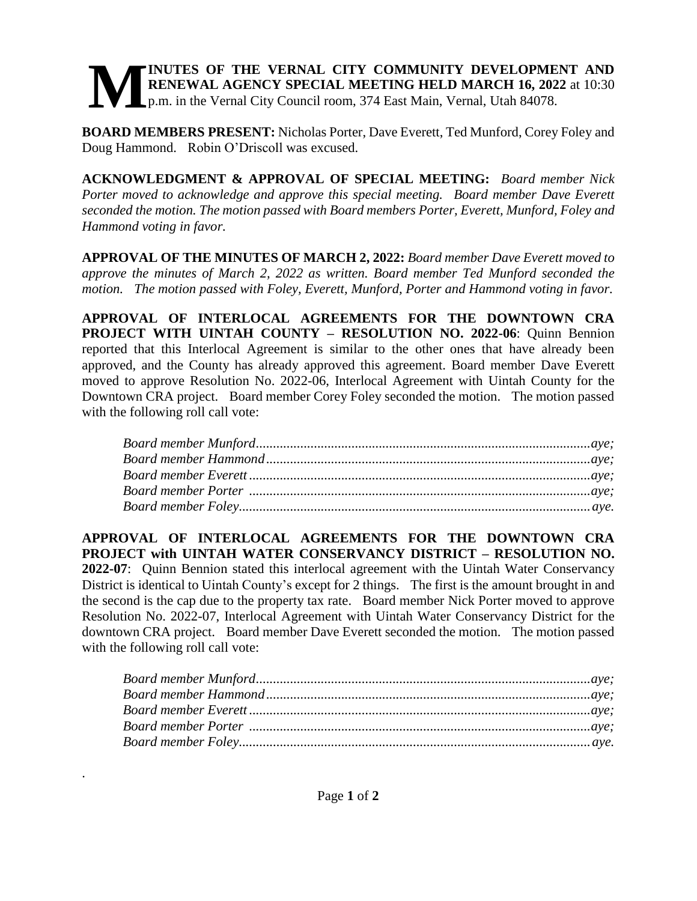## **INUTES OF THE VERNAL CITY COMMUNITY DEVELOPMENT AND RENEWAL AGENCY SPECIAL MEETING HELD MARCH 16, 2022** at 10:30 p.m. in the Vernal City Council room, 374 East Main, Vernal, Utah 84078. **M**

**BOARD MEMBERS PRESENT:** Nicholas Porter, Dave Everett, Ted Munford, Corey Foley and Doug Hammond. Robin O'Driscoll was excused.

**ACKNOWLEDGMENT & APPROVAL OF SPECIAL MEETING:** *Board member Nick Porter moved to acknowledge and approve this special meeting. Board member Dave Everett seconded the motion. The motion passed with Board members Porter, Everett, Munford, Foley and Hammond voting in favor.* 

**APPROVAL OF THE MINUTES OF MARCH 2, 2022:** *Board member Dave Everett moved to approve the minutes of March 2, 2022 as written. Board member Ted Munford seconded the motion. The motion passed with Foley, Everett, Munford, Porter and Hammond voting in favor.* 

**APPROVAL OF INTERLOCAL AGREEMENTS FOR THE DOWNTOWN CRA PROJECT WITH UINTAH COUNTY – RESOLUTION NO. 2022-06**: Quinn Bennion reported that this Interlocal Agreement is similar to the other ones that have already been approved, and the County has already approved this agreement. Board member Dave Everett moved to approve Resolution No. 2022-06, Interlocal Agreement with Uintah County for the Downtown CRA project. Board member Corey Foley seconded the motion. The motion passed with the following roll call vote:

**APPROVAL OF INTERLOCAL AGREEMENTS FOR THE DOWNTOWN CRA PROJECT with UINTAH WATER CONSERVANCY DISTRICT – RESOLUTION NO. 2022-07**: Quinn Bennion stated this interlocal agreement with the Uintah Water Conservancy District is identical to Uintah County's except for 2 things. The first is the amount brought in and the second is the cap due to the property tax rate. Board member Nick Porter moved to approve Resolution No. 2022-07, Interlocal Agreement with Uintah Water Conservancy District for the downtown CRA project. Board member Dave Everett seconded the motion. The motion passed with the following roll call vote:

.